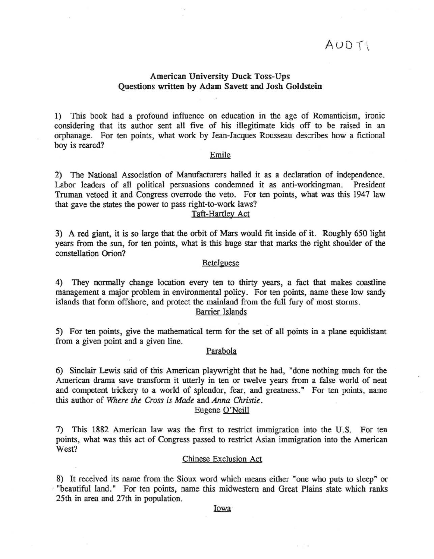# $AUDT!$

# American University Duck Toss-Ups Questions written by Adam Savett and Josh Goldstein

1) This book had a profound influence on education in the age of Romanticism, ironic considering that its author sent all five of his illegitimate kids off to be raised in an orphanage. For ten points, what work by Jean-Jacques Rousseau describes how a fictional boy is reared?

## Emile

2) The National Association of Manufacturers hailed it as a declaration of independence. Labor leaders of all political persuasions condemned it as anti-workingman. President Truman vetoed it and Congress overrode the veto. For ten points, what was this 1947 law that gave the states the power to pass right-to-work laws?

### Tafi-Hartley Act

3) A red giant, it is so large that the orbit of Mars would fit inside of it. Roughly 650 light years from the sun, for ten points, what is this huge star that marks the right shoulder of the constellation Orion?

#### **Betelguese**

4) They normally change location every ten to thirty years, a fact that makes coastline management a major problem in environmental policy. For ten points, name these low sandy islands that form offshore, and protect the mainland from the full fury of most storms. Barrier Islands

5) For ten points, give the mathematical term for the set of all points in a plane equidistant from a given point and a given line.

# Parabola

6) Sinclair Lewis said of this American playwright that he had, "done nothing much for the American drama save transform it utterly in ten or twelve years from a false world of neat and competent trickery to a world of splendor, fear, and greatness." For ten points, name this author of *Where the Cross is Made* and *Anna Christie.* 

### Eugene O'Neill

7) This 1882 American law was the first to restrict immigration into the U.S. For ten points, what was this act of Congress passed to restrict Asian immigration into the American West?

#### Chinese Exclusion Act

8) It received its name from the Sioux word which means either "one who puts to sleep" or "beautiful land." For ten points, name this midwestern and Great Plains state which ranks 25th in area and 27th in population.

Iowa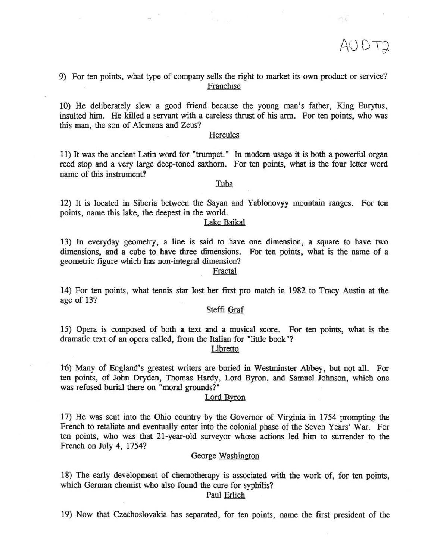AUDT2

 $.$ 

9) For ten points, what type of company sells the right to market its own product or service? Franchise

10) He deliberately slew a good friend because the young man's father, King Eurytus, insulted him. He killed a servant with a careless thrust of his arm. For ten points, who was this man, the son of Alcmena and Zeus?

### **Hercules**

11) It was the ancient Latin word for "trumpet." In modem usage it is both a powerful organ reed stop and a very large deep-toned saxhorn. For ten points, what is the four letter word name of this instrument?

### Tuba

12) It is located in Siberia between the Sayan and Yablonovyy mountain ranges. For ten points, name this lake, the deepest in the world.

#### Lake Baikal

13) In everyday geometry, a line is said to have one dimension, a square to have two dimensions, and a cube to have three dimensions. For ten points, what is the name of a geometric figure which has non-integral dimension?

## Fractal

14) For ten points, what tennis star lost her first pro match in 1982 to Tracy Austin at the age of 13?

### Steffi Graf

15) Opera is composed of both a text and a musical score. For ten points, what is the dramatic text of an opera called, from the Italian for "little book"?

Libretto

16) Many of England's greatest writers are buried in Westminster Abbey, but not all. For ten points, of John Dryden, Thomas Hardy, Lord Byron, and Samuel Johnson, which one was refused burial there on "moral grounds?"

#### Lord Byron

17) He was sent into the Ohio country by the Governor of Virginia in 1754 prompting the French to retaliate and eventually enter into the colonial phase of the Seven Years' War. For ten points, who was that 21-year-old surveyor whose actions led him to surrender to the French on July 4, 1754?

#### George Washington

18) The early development of chemotherapy is associated with the work of, for ten points, which German chemist who also found the cure for syphilis?

Paul Erlich

19) Now that Czechoslovakia has separated, for ten points, name the first president of the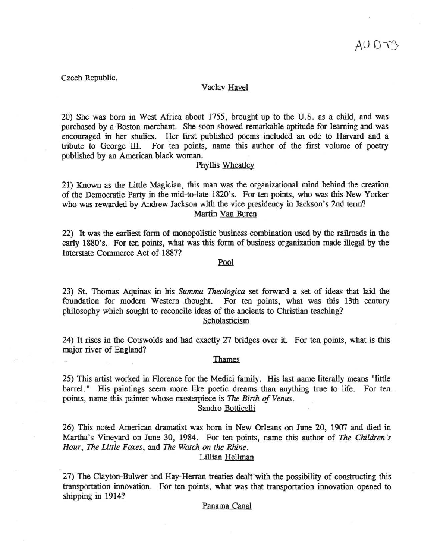Czech Republic.

## Vaclav Havel

20) She was born in West Africa about 1755, brought up to the U.S. as a child, and was purchased by a Boston merchant. She soon showed remarkable aptitude for learning and was encOuraged in her studies. Her first published poems included an ode to Harvard and a tribute to George III. For ten points, name this author of the fIrst volume of poetry published by an American black woman.

#### Phyllis Wheatley

21) Known as the Little Magician, this man was the organizational mind behind the creation of the Democratic Party in the mid-to-Iate 1820's. For ten points, who was this New Yorker who was rewarded by Andrew Jackson with the vice presidency in Jackson's 2nd term? Martin Van Buren

22) It was the earliest form of monopolistic business combination used by the railroads in the early 1880's. For ten points, what was this form of business organization made illegal by the Interstate Commerce Act of 188??

## Pool

23) St. Thomas Aquinas in his *Summa Theologica* set forward a set of ideas that laid the foundation for modern Western thought. For ten points, what was this 13th century philosophy which sought to reconcile ideas of the ancients to Christian teaching? Scholasticism

24) It rises in the Cotswolds and had exactly 27 bridges over it. For ten points, what is this major river of England?

### Thames

25) This artist worked in Florence for the Medici family. His last name literally means "little barrel." His paintings seem more like poetic dreams than anything true to life. For ten points, name this painter whose masterpiece is *The Birth of Venus*.

Sandro Botticelli

26) This noted American dramatist was born in New Orleans on June 20, 1907 and died in Martha's Vineyard on June 30, 1984. For ten points, name this author of *The Children's Hour,* The *Little Foxes,* and *The Watch on the Rhine.* 

# Lillian Hellman

27) The Clayton-Bulwer and Hay-Herran treaties dealt with the possibility of constructing this transportation innovation. For ten points, what was that transportation innovation opened to shipping in 1914?

#### Panama Canal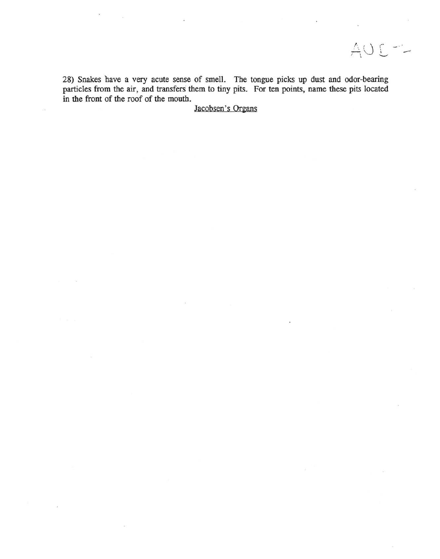28) Snakes have a very acute sense of smell. The tongue picks up dust and odor-bearing particles from the air, and transfers them to tiny pits. For ten points, name these pits located in the front of the roof of the mouth.

AUC-

Jacobsen's Organs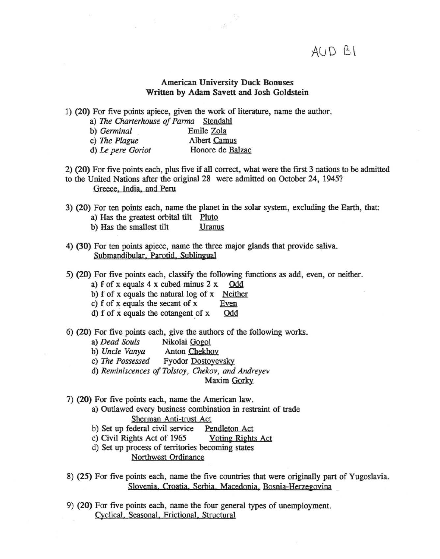$AUD$   $B\1$ 

# American University Duck Bonuses Written by Adam Savett and Josh Goldstein

 $\mathbf{g}^{\mathrm{c}}$ 

1) (20) For five points apiece, given the work of literature, name the author.

a) *The Charterhouse of Parma* Stendahl

| b) Germinal   | Emile Zola   |
|---------------|--------------|
| c) The Plague | Albert Camus |
|               |              |

d) *Le pere Goriot* Honore de Balzac

2) (20) For five points each, plus five if all correct, what were the first 3 nations to be admitted to the United Nations after the original 28 were admitted on October 24, 1945? Greece. India, and Peru

3) (20) For ten points each, name the planet in the solar system, excluding the Earth, that:

- a) Has the greatest orbital tilt Pluto
- b) Has the smallest tilt Uranus
- 4) (30) For ten points apiece, name the three major glands that provide saliva. Submandibular, Parotid, Sublingual
- 5) (20) For five points each, classify the following functions as add, even, or neither.
	- a) f of x equals  $4 \times$  cubed minus  $2 \times$  Odd

b)  $f$  of  $x$  equals the natural log of  $x$  Neither

- c)  $f$  of  $x$  equals the secant of  $x$   $\frac{Even}{Theorem 2}$ <br>d)  $f$  of  $x$  equals the cotangent of  $x$   $\frac{Odd}{Theorem 2}$
- d)  $f$  of  $x$  equals the cotangent of  $x$
- 6) (20) For five points each, give the authors of the following works.
	- a) *Dead Souls* Nikolai Gogol
	- b) *Uncle Vanya* Anton Chekhov
	- c) The Possessed Fyodor Dostoyevsky
	- d) *Reminiscences of Tolstoy, Chekov, and Andreyev*

Maxim Gorky

- 7) (20) For five points each, name the American law.
	- a) Outlawed every business combination in restraint of trade Sherman Anti-trust Act
	- b) Set up federal civil service Pendleton Act
	- c) Civil Rights Act of 1965 Voting Rights Act
	- d) Set up process of territories becoming states Northwest Ordinance
- 8) (25) For five points each, name the five countries that were originally part of Yugoslavia. Slovenia, Croatia, Serbia, Macedonia, Bosnia-Herzegovina
- 9) (20) For five points each, name the four general types of unemployment. Cyclical, Seasonal, Frictional, Structural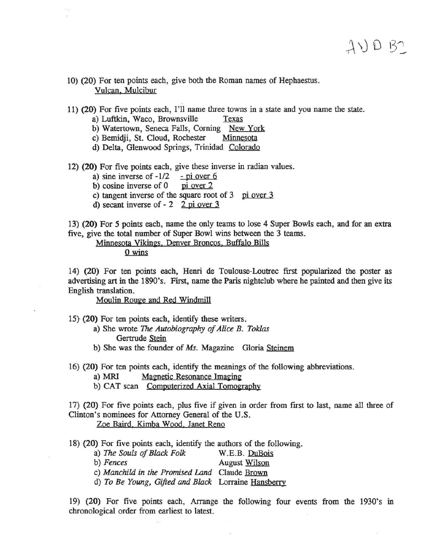11) (20) For five points each, I'll name three towns in a state and you name the state.

 $AVDB2$ 

- a) Luftkin, Waco, Brownsville Texas.
- b) Watertown, Seneca Falls, Corning New York<br>c) Bemidii, St. Cloud, Rochester Minnesota
- c) Bemidji, St. Cloud, Rochester
- d) Delta, Glenwood Springs, Trinidad Colorado
- 12) (20) For five points each, give these inverse in radian values.<br>a) sine inverse of  $-1/2$  pi over 6
	- a) sine inverse of  $-1/2$  pi over 6<br>b) cosine inverse of 0 pi over 2
	- b) cosine inverse of  $\theta$
	- c) tangent inverse of the square root of  $3$  pi over  $3$
	- d) secant inverse of 2 2 pi over 3

13) (20) For 5 points each, name the only teams to lose 4 Super Bowls each, and for an extra five, give the total number of Super Bowl wins between the 3 teams.

Minnesota Vikings, Denver Broncos, Buffalo Bills

o wins

14) (20) For ten points each, Henri de Toulouse-Loutrec first popularized the poster as advertising art in the 1890's. First, name the Paris nightclub where he painted and then give its English translation.

Moulin Rouge and Red Windmill

15} (20) For ten points each, identify these writers.

- a) She wrote The *Autobiography of Alice B. Toklas*  Gertrude Stein
- b) She was the founder of *Ms.* Magazine Gloria Steinem
- 16) (20) For ten points each, identify the meanings of the following abbreviations.
	- a) MRI Magnetic Resonance Imaging
	- b) CAT scan Computerized Axial Tomography

17) (20) For five points each, plus five if given in order from first to last, name all three of Clinton's nominees for Attorney General of the U.S. Zoe Baird, Kimba Wood. Janet Reno

18) (20) For five points each, identify the authors of the following.

| a) The Souls of Black Folk                          | W.E.B. DuBois |
|-----------------------------------------------------|---------------|
| b) Fences                                           | August Wilson |
| c) Manchild in the Promised Land Claude Brown       |               |
| d) To Be Young, Gifted and Black Lorraine Hansberry |               |

19) (20) For five points each, Arrange the following four events from the 1930's in chronological order from earliest to latest.